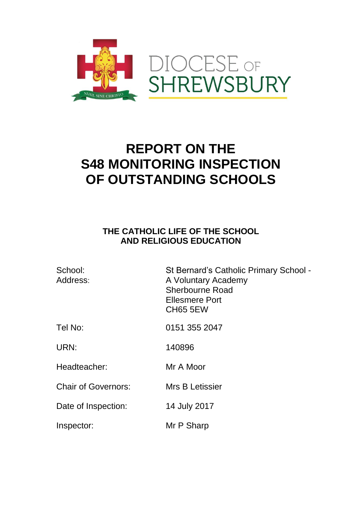

# **REPORT ON THE S48 MONITORING INSPECTION OF OUTSTANDING SCHOOLS**

# **THE CATHOLIC LIFE OF THE SCHOOL AND RELIGIOUS EDUCATION**

| School:<br>Address:        | St Bernard's Catholic Primary School -<br>A Voluntary Academy<br><b>Sherbourne Road</b><br>Ellesmere Port<br><b>CH65 5EW</b> |
|----------------------------|------------------------------------------------------------------------------------------------------------------------------|
| Tel No:                    | 0151 355 2047                                                                                                                |
| URN:                       | 140896                                                                                                                       |
| Headteacher:               | Mr A Moor                                                                                                                    |
| <b>Chair of Governors:</b> | Mrs B Letissier                                                                                                              |
| Date of Inspection:        | 14 July 2017                                                                                                                 |
| Inspector:                 | Mr P Sharp                                                                                                                   |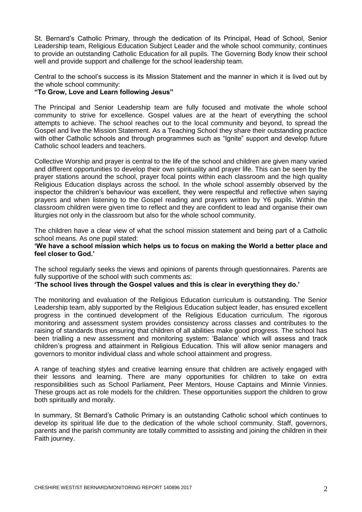St. Bernard's Catholic Primary, through the dedication of its Principal, Head of School, Senior Leadership team, Religious Education Subject Leader and the whole school community, continues to provide an outstanding Catholic Education for all pupils. The Governing Body know their school well and provide support and challenge for the school leadership team.

Central to the school's success is its Mission Statement and the manner in which it is lived out by the whole school community:

# **"To Grow, Love and Learn following Jesus"**

The Principal and Senior Leadership team are fully focused and motivate the whole school community to strive for excellence. Gospel values are at the heart of everything the school attempts to achieve. The school reaches out to the local community and beyond, to spread the Gospel and live the Mission Statement. As a Teaching School they share their outstanding practice with other Catholic schools and through programmes such as "Ignite" support and develop future Catholic school leaders and teachers.

Collective Worship and prayer is central to the life of the school and children are given many varied and different opportunities to develop their own spirituality and prayer life. This can be seen by the prayer stations around the school, prayer focal points within each classroom and the high quality Religious Education displays across the school. In the whole school assembly observed by the inspector the children's behaviour was excellent, they were respectful and reflective when saying prayers and when listening to the Gospel reading and prayers written by Y6 pupils. Within the classroom children were given time to reflect and they are confident to lead and organise their own liturgies not only in the classroom but also for the whole school community.

The children have a clear view of what the school mission statement and being part of a Catholic school means. As one pupil stated:

### **'We have a school mission which helps us to focus on making the World a better place and feel closer to God.'**

The school regularly seeks the views and opinions of parents through questionnaires. Parents are fully supportive of the school with such comments as:

# **'The school lives through the Gospel values and this is clear in everything they do.'**

The monitoring and evaluation of the Religious Education curriculum is outstanding. The Senior Leadership team, ably supported by the Religious Education subject leader, has ensured excellent progress in the continued development of the Religious Education curriculum. The rigorous monitoring and assessment system provides consistency across classes and contributes to the raising of standards thus ensuring that children of all abilities make good progress. The school has been trialling a new assessment and monitoring system: 'Balance' which will assess and track children's progress and attainment in Religious Education. This will allow senior managers and governors to monitor individual class and whole school attainment and progress.

A range of teaching styles and creative learning ensure that children are actively engaged with their lessons and learning. There are many opportunities for children to take on extra responsibilities such as School Parliament, Peer Mentors, House Captains and Minnie Vinnies. These groups act as role models for the children. These opportunities support the children to grow both spiritually and morally.

In summary, St Bernard's Catholic Primary is an outstanding Catholic school which continues to develop its spiritual life due to the dedication of the whole school community. Staff, governors, parents and the parish community are totally committed to assisting and joining the children in their Faith journey.